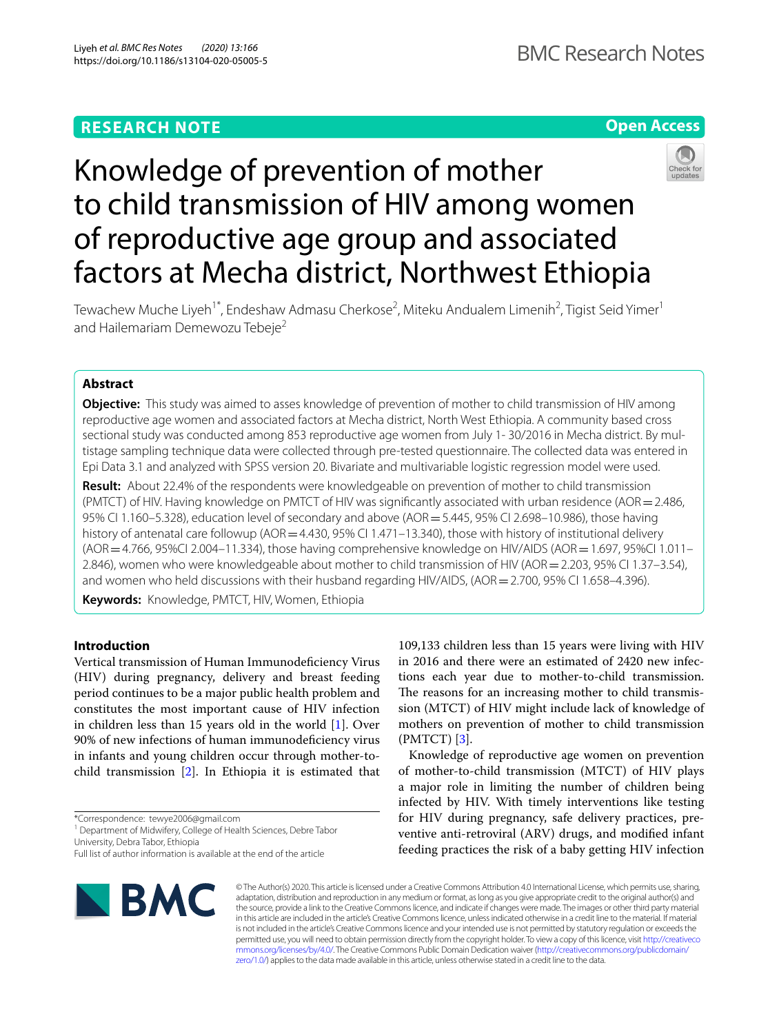# **RESEARCH NOTE**

# **Open Access**



# Knowledge of prevention of mother to child transmission of HIV among women of reproductive age group and associated factors at Mecha district, Northwest Ethiopia

Tewachew Muche Liyeh<sup>1\*</sup>, Endeshaw Admasu Cherkose<sup>2</sup>, Miteku Andualem Limenih<sup>2</sup>, Tigist Seid Yimer<sup>1</sup> and Hailemariam Demewozu Tebeje<sup>2</sup>

# **Abstract**

**Objective:** This study was aimed to asses knowledge of prevention of mother to child transmission of HIV among reproductive age women and associated factors at Mecha district, North West Ethiopia. A community based cross sectional study was conducted among 853 reproductive age women from July 1- 30/2016 in Mecha district. By multistage sampling technique data were collected through pre-tested questionnaire. The collected data was entered in Epi Data 3.1 and analyzed with SPSS version 20. Bivariate and multivariable logistic regression model were used.

**Result:** About 22.4% of the respondents were knowledgeable on prevention of mother to child transmission (PMTCT) of HIV. Having knowledge on PMTCT of HIV was signifcantly associated with urban residence (AOR=2.486, 95% CI 1.160-5.328), education level of secondary and above (AOR = 5.445, 95% CI 2.698-10.986), those having history of antenatal care followup (AOR = 4.430, 95% CI 1.471–13.340), those with history of institutional delivery (AOR=4.766, 95%CI 2.004–11.334), those having comprehensive knowledge on HIV/AIDS (AOR=1.697, 95%CI 1.011– 2.846), women who were knowledgeable about mother to child transmission of HIV (AOR=2.203, 95% CI 1.37–3.54), and women who held discussions with their husband regarding HIV/AIDS, (AOR=2.700, 95% CI 1.658–4.396).

**Keywords:** Knowledge, PMTCT, HIV, Women, Ethiopia

# **Introduction**

Vertical transmission of Human Immunodefciency Virus (HIV) during pregnancy, delivery and breast feeding period continues to be a major public health problem and constitutes the most important cause of HIV infection in children less than 15 years old in the world [\[1](#page-5-0)]. Over 90% of new infections of human immunodefciency virus in infants and young children occur through mother-tochild transmission [[2\]](#page-5-1). In Ethiopia it is estimated that

\*Correspondence: tewye2006@gmail.com

<sup>1</sup> Department of Midwifery, College of Health Sciences, Debre Tabor University, Debra Tabor, Ethiopia

Full list of author information is available at the end of the article



109,133 children less than 15 years were living with HIV in 2016 and there were an estimated of 2420 new infections each year due to mother-to-child transmission. The reasons for an increasing mother to child transmission (MTCT) of HIV might include lack of knowledge of mothers on prevention of mother to child transmission (PMTCT) [\[3](#page-5-2)].

Knowledge of reproductive age women on prevention of mother-to-child transmission (MTCT) of HIV plays a major role in limiting the number of children being infected by HIV. With timely interventions like testing for HIV during pregnancy, safe delivery practices, preventive anti-retroviral (ARV) drugs, and modifed infant feeding practices the risk of a baby getting HIV infection

© The Author(s) 2020. This article is licensed under a Creative Commons Attribution 4.0 International License, which permits use, sharing, adaptation, distribution and reproduction in any medium or format, as long as you give appropriate credit to the original author(s) and the source, provide a link to the Creative Commons licence, and indicate if changes were made. The images or other third party material in this article are included in the article's Creative Commons licence, unless indicated otherwise in a credit line to the material. If material is not included in the article's Creative Commons licence and your intended use is not permitted by statutory regulation or exceeds the permitted use, you will need to obtain permission directly from the copyright holder. To view a copy of this licence, visit [http://creativeco](http://creativecommons.org/licenses/by/4.0/) [mmons.org/licenses/by/4.0/.](http://creativecommons.org/licenses/by/4.0/) The Creative Commons Public Domain Dedication waiver ([http://creativecommons.org/publicdomain/](http://creativecommons.org/publicdomain/zero/1.0/) [zero/1.0/\)](http://creativecommons.org/publicdomain/zero/1.0/) applies to the data made available in this article, unless otherwise stated in a credit line to the data.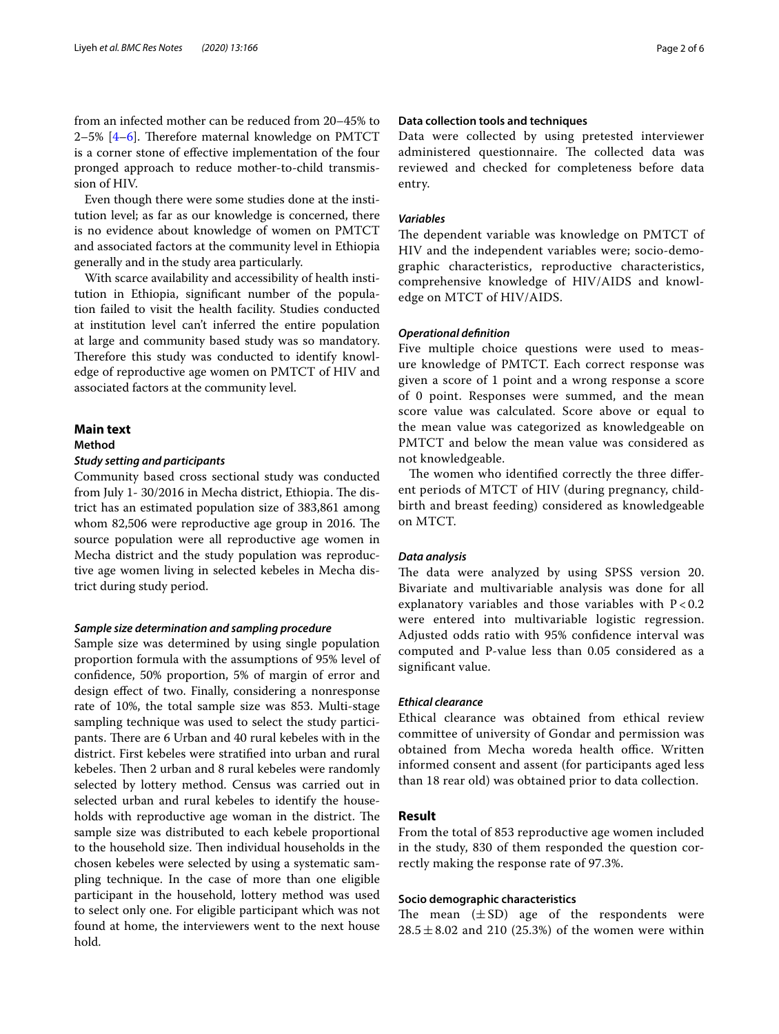from an infected mother can be reduced from 20–45% to  $2-5\%$  [\[4](#page-5-3)-[6\]](#page-5-4). Therefore maternal knowledge on PMTCT is a corner stone of efective implementation of the four pronged approach to reduce mother-to-child transmission of HIV.

Even though there were some studies done at the institution level; as far as our knowledge is concerned, there is no evidence about knowledge of women on PMTCT and associated factors at the community level in Ethiopia generally and in the study area particularly.

With scarce availability and accessibility of health institution in Ethiopia, signifcant number of the population failed to visit the health facility. Studies conducted at institution level can't inferred the entire population at large and community based study was so mandatory. Therefore this study was conducted to identify knowledge of reproductive age women on PMTCT of HIV and associated factors at the community level.

# **Main text**

# **Method**

# *Study setting and participants*

Community based cross sectional study was conducted from July 1-30/2016 in Mecha district, Ethiopia. The district has an estimated population size of 383,861 among whom 82,506 were reproductive age group in 2016. The source population were all reproductive age women in Mecha district and the study population was reproductive age women living in selected kebeles in Mecha district during study period.

#### *Sample size determination and sampling procedure*

Sample size was determined by using single population proportion formula with the assumptions of 95% level of confdence, 50% proportion, 5% of margin of error and design efect of two. Finally, considering a nonresponse rate of 10%, the total sample size was 853. Multi-stage sampling technique was used to select the study participants. There are 6 Urban and 40 rural kebeles with in the district. First kebeles were stratifed into urban and rural kebeles. Then 2 urban and 8 rural kebeles were randomly selected by lottery method. Census was carried out in selected urban and rural kebeles to identify the households with reproductive age woman in the district. The sample size was distributed to each kebele proportional to the household size. Then individual households in the chosen kebeles were selected by using a systematic sampling technique. In the case of more than one eligible participant in the household, lottery method was used to select only one. For eligible participant which was not found at home, the interviewers went to the next house hold.

#### **Data collection tools and techniques**

Data were collected by using pretested interviewer administered questionnaire. The collected data was reviewed and checked for completeness before data entry.

## *Variables*

The dependent variable was knowledge on PMTCT of HIV and the independent variables were; socio-demographic characteristics, reproductive characteristics, comprehensive knowledge of HIV/AIDS and knowledge on MTCT of HIV/AIDS.

#### *Operational defnition*

Five multiple choice questions were used to measure knowledge of PMTCT. Each correct response was given a score of 1 point and a wrong response a score of 0 point. Responses were summed, and the mean score value was calculated. Score above or equal to the mean value was categorized as knowledgeable on PMTCT and below the mean value was considered as not knowledgeable.

The women who identified correctly the three different periods of MTCT of HIV (during pregnancy, childbirth and breast feeding) considered as knowledgeable on MTCT.

#### *Data analysis*

The data were analyzed by using SPSS version 20. Bivariate and multivariable analysis was done for all explanatory variables and those variables with  $P < 0.2$ were entered into multivariable logistic regression. Adjusted odds ratio with 95% confdence interval was computed and P-value less than 0.05 considered as a signifcant value.

#### *Ethical clearance*

Ethical clearance was obtained from ethical review committee of university of Gondar and permission was obtained from Mecha woreda health office. Written informed consent and assent (for participants aged less than 18 rear old) was obtained prior to data collection.

# **Result**

From the total of 853 reproductive age women included in the study, 830 of them responded the question correctly making the response rate of 97.3%.

#### **Socio demographic characteristics**

The mean  $(\pm SD)$  age of the respondents were  $28.5 \pm 8.02$  and 210 (25.3%) of the women were within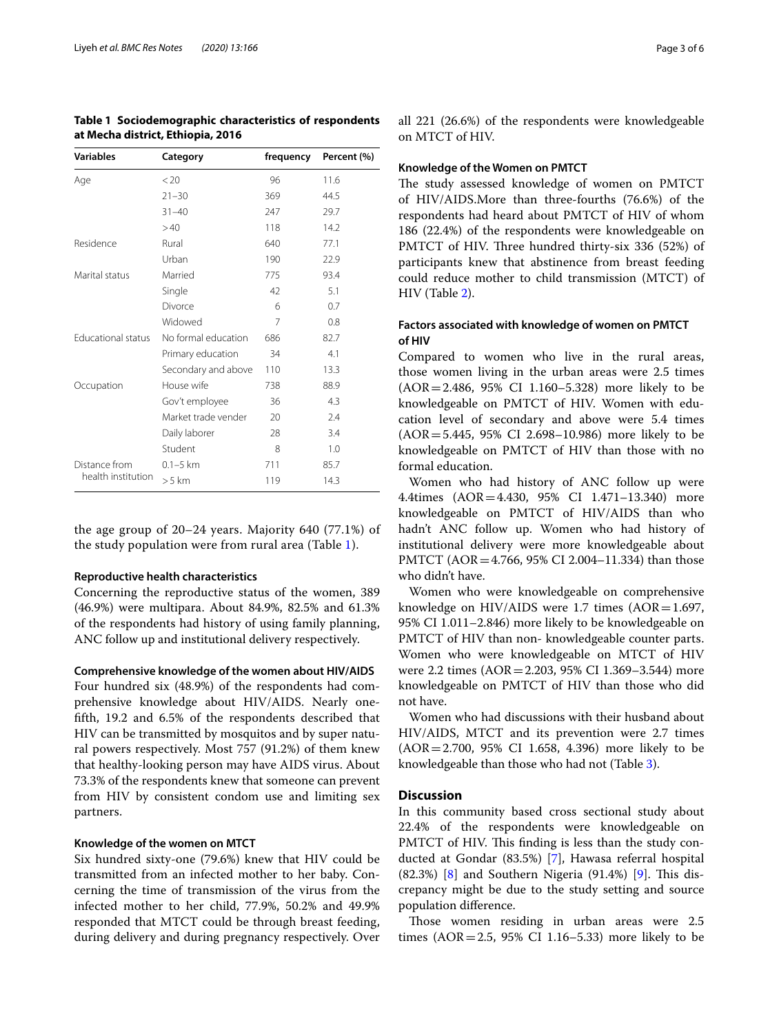| <b>Variables</b>                    | Category            | frequency | Percent (%) |
|-------------------------------------|---------------------|-----------|-------------|
| Age                                 | < 20                | 96        | 11.6        |
|                                     | $21 - 30$           | 369       | 44.5        |
|                                     | $31 - 40$           | 247       | 29.7        |
|                                     | >40                 | 118       | 14.2        |
| Residence                           | Rural               | 640       | 77.1        |
|                                     | Urban               | 190       | 22.9        |
| Marital status                      | Married             | 775       | 93.4        |
|                                     | Single              | 42        | 5.1         |
|                                     | Divorce             | 6         | 0.7         |
|                                     | Widowed             | 7         | 0.8         |
| <b>Educational status</b>           | No formal education | 686       | 82.7        |
|                                     | Primary education   | 34        | 4.1         |
|                                     | Secondary and above | 110       | 13.3        |
| Occupation                          | House wife          | 738       | 88.9        |
|                                     | Gov't employee      | 36        | 4.3         |
|                                     | Market trade vender | 20        | 2.4         |
|                                     | Daily laborer       | 28        | 3.4         |
|                                     | Student             | 8         | 1.0         |
| Distance from<br>health institution | $0.1 - 5$ km        | 711       | 85.7        |
|                                     | >5 km               | 119       | 14.3        |

<span id="page-2-0"></span>**Table 1 Sociodemographic characteristics of respondents at Mecha district, Ethiopia, 2016**

the age group of 20–24 years. Majority 640 (77.1%) of the study population were from rural area (Table [1\)](#page-2-0).

#### **Reproductive health characteristics**

Concerning the reproductive status of the women, 389 (46.9%) were multipara. About 84.9%, 82.5% and 61.3% of the respondents had history of using family planning, ANC follow up and institutional delivery respectively.

**Comprehensive knowledge of the women about HIV/AIDS**

Four hundred six (48.9%) of the respondents had comprehensive knowledge about HIV/AIDS. Nearly oneffth, 19.2 and 6.5% of the respondents described that HIV can be transmitted by mosquitos and by super natural powers respectively. Most 757 (91.2%) of them knew that healthy-looking person may have AIDS virus. About 73.3% of the respondents knew that someone can prevent from HIV by consistent condom use and limiting sex partners.

## **Knowledge of the women on MTCT**

Six hundred sixty-one (79.6%) knew that HIV could be transmitted from an infected mother to her baby. Concerning the time of transmission of the virus from the infected mother to her child, 77.9%, 50.2% and 49.9% responded that MTCT could be through breast feeding, during delivery and during pregnancy respectively. Over all 221 (26.6%) of the respondents were knowledgeable on MTCT of HIV.

#### **Knowledge of the Women on PMTCT**

The study assessed knowledge of women on PMTCT of HIV/AIDS.More than three-fourths (76.6%) of the respondents had heard about PMTCT of HIV of whom 186 (22.4%) of the respondents were knowledgeable on PMTCT of HIV. Three hundred thirty-six 336 (52%) of participants knew that abstinence from breast feeding could reduce mother to child transmission (MTCT) of HIV (Table [2\)](#page-3-0).

# **Factors associated with knowledge of women on PMTCT of HIV**

Compared to women who live in the rural areas, those women living in the urban areas were 2.5 times (AOR=2.486, 95% CI 1.160–5.328) more likely to be knowledgeable on PMTCT of HIV. Women with education level of secondary and above were 5.4 times (AOR=5.445, 95% CI 2.698–10.986) more likely to be knowledgeable on PMTCT of HIV than those with no formal education.

Women who had history of ANC follow up were 4.4times (AOR=4.430, 95% CI 1.471–13.340) more knowledgeable on PMTCT of HIV/AIDS than who hadn't ANC follow up. Women who had history of institutional delivery were more knowledgeable about PMTCT (AOR=4.766, 95% CI 2.004–11.334) than those who didn't have.

Women who were knowledgeable on comprehensive knowledge on HIV/AIDS were 1.7 times  $(AOR = 1.697,$ 95% CI 1.011–2.846) more likely to be knowledgeable on PMTCT of HIV than non- knowledgeable counter parts. Women who were knowledgeable on MTCT of HIV were 2.2 times (AOR = 2.203, 95% CI 1.369–3.544) more knowledgeable on PMTCT of HIV than those who did not have.

Women who had discussions with their husband about HIV/AIDS, MTCT and its prevention were 2.7 times (AOR=2.700, 95% CI 1.658, 4.396) more likely to be knowledgeable than those who had not (Table [3](#page-3-1)).

#### **Discussion**

In this community based cross sectional study about 22.4% of the respondents were knowledgeable on PMTCT of HIV. This finding is less than the study conducted at Gondar (83.5%) [[7\]](#page-5-5), Hawasa referral hospital  $(82.3%)$   $[8]$  $[8]$  and Southern Nigeria  $(91.4%)$   $[9]$  $[9]$ . This discrepancy might be due to the study setting and source population diference.

Those women residing in urban areas were 2.5 times (AOR=2.5, 95% CI 1.16–5.33) more likely to be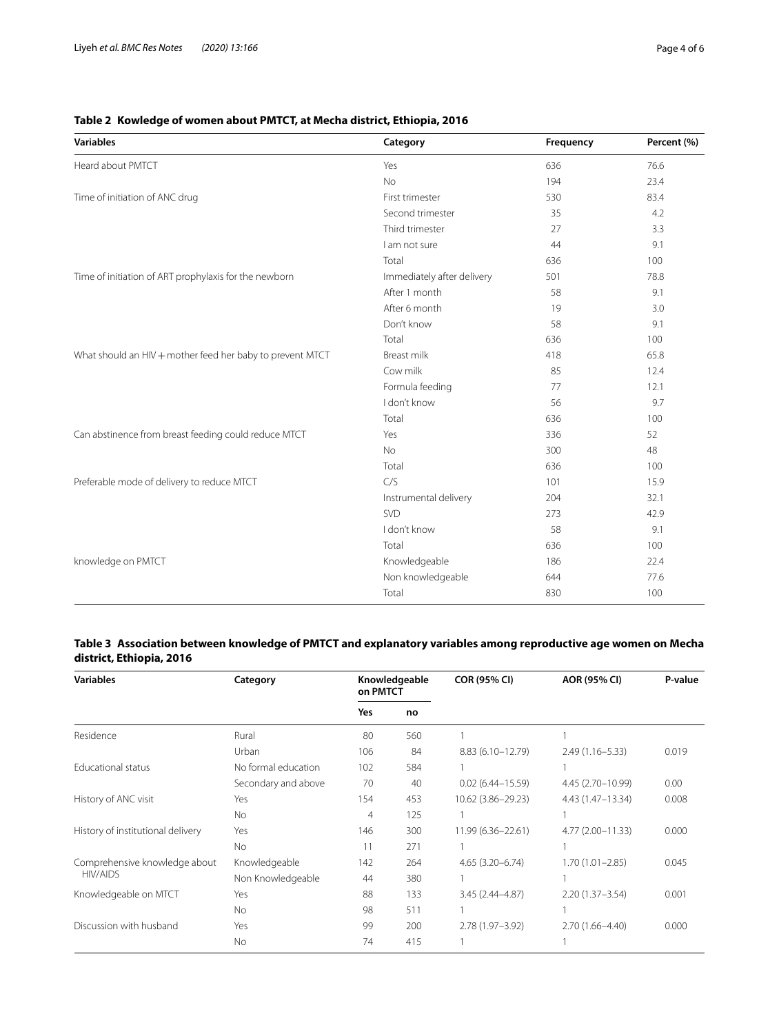# <span id="page-3-0"></span>**Table 2 Kowledge of women about PMTCT, at Mecha district, Ethiopia, 2016**

| <b>Variables</b>                                          | Category                   | Frequency | Percent (%) |
|-----------------------------------------------------------|----------------------------|-----------|-------------|
| Heard about PMTCT                                         | Yes                        | 636       | 76.6        |
|                                                           | No                         | 194       | 23.4        |
| Time of initiation of ANC drug                            | First trimester            | 530       | 83.4        |
|                                                           | Second trimester           | 35        | 4.2         |
|                                                           | Third trimester            | 27        | 3.3         |
|                                                           | I am not sure              | 44        | 9.1         |
|                                                           | Total                      | 636       | 100         |
| Time of initiation of ART prophylaxis for the newborn     | Immediately after delivery | 501       | 78.8        |
|                                                           | After 1 month              | 58        | 9.1         |
|                                                           | After 6 month              | 19        | 3.0         |
|                                                           | Don't know                 | 58        | 9.1         |
|                                                           | Total                      | 636       | 100         |
| What should an HIV + mother feed her baby to prevent MTCT | <b>Breast milk</b>         | 418       | 65.8        |
|                                                           | Cow milk                   | 85        | 12.4        |
|                                                           | Formula feeding            | 77        | 12.1        |
|                                                           | I don't know               | 56        | 9.7         |
|                                                           | Total                      | 636       | 100         |
| Can abstinence from breast feeding could reduce MTCT      | Yes                        | 336       | 52          |
|                                                           | <b>No</b>                  | 300       | 48          |
|                                                           | Total                      | 636       | 100         |
| Preferable mode of delivery to reduce MTCT                | C/S                        | 101       | 15.9        |
|                                                           | Instrumental delivery      | 204       | 32.1        |
|                                                           | <b>SVD</b>                 | 273       | 42.9        |
|                                                           | I don't know               | 58        | 9.1         |
|                                                           | Total                      | 636       | 100         |
| knowledge on PMTCT                                        | Knowledgeable              | 186       | 22.4        |
|                                                           | Non knowledgeable          | 644       | 77.6        |
|                                                           | Total                      | 830       | 100         |

# <span id="page-3-1"></span>**Table 3 Association between knowledge of PMTCT and explanatory variables among reproductive age women on Mecha district, Ethiopia, 2016**

| <b>Variables</b>                                 | Category            | Knowledgeable<br>on PMTCT |     | <b>COR (95% CI)</b>  | AOR (95% CI)        | P-value |
|--------------------------------------------------|---------------------|---------------------------|-----|----------------------|---------------------|---------|
|                                                  |                     | Yes                       | no  |                      |                     |         |
| Residence                                        | Rural               | 80                        | 560 |                      |                     |         |
|                                                  | Urban               | 106                       | 84  | 8.83 (6.10-12.79)    | $2.49(1.16 - 5.33)$ | 0.019   |
| Educational status                               | No formal education | 102                       | 584 |                      |                     |         |
|                                                  | Secondary and above | 70                        | 40  | $0.02(6.44 - 15.59)$ | 4.45 (2.70-10.99)   | 0.00    |
| History of ANC visit                             | Yes                 | 154                       | 453 | 10.62 (3.86-29.23)   | 4.43 (1.47-13.34)   | 0.008   |
|                                                  | <b>No</b>           | 4                         | 125 |                      |                     |         |
| History of institutional delivery                | Yes                 | 146                       | 300 | 11.99 (6.36-22.61)   | 4.77 (2.00-11.33)   | 0.000   |
|                                                  | <b>No</b>           | 11                        | 271 |                      |                     |         |
| Comprehensive knowledge about<br><b>HIV/AIDS</b> | Knowledgeable       | 142                       | 264 | $4.65(3.20 - 6.74)$  | $1.70(1.01 - 2.85)$ | 0.045   |
|                                                  | Non Knowledgeable   | 44                        | 380 |                      |                     |         |
| Knowledgeable on MTCT                            | Yes                 | 88                        | 133 | $3.45(2.44 - 4.87)$  | $2.20(1.37 - 3.54)$ | 0.001   |
|                                                  | No.                 | 98                        | 511 |                      |                     |         |
| Discussion with husband                          | Yes                 | 99                        | 200 | 2.78 (1.97-3.92)     | $2.70(1.66 - 4.40)$ | 0.000   |
|                                                  | No.                 | 74                        | 415 |                      |                     |         |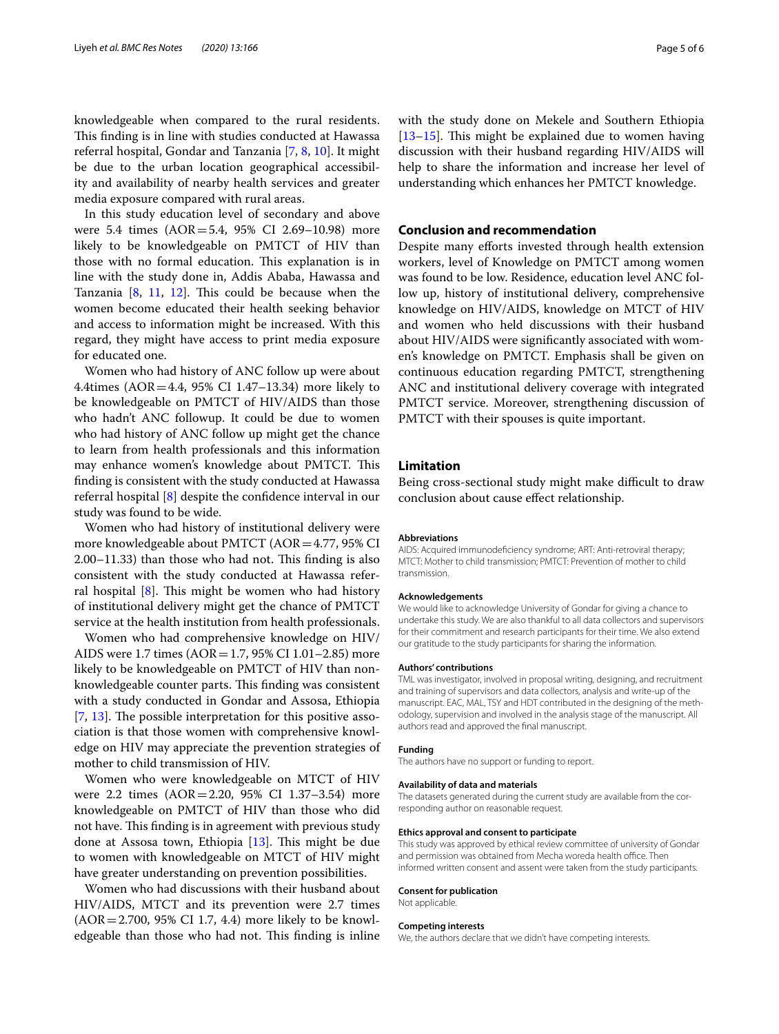knowledgeable when compared to the rural residents. This finding is in line with studies conducted at Hawassa referral hospital, Gondar and Tanzania [[7,](#page-5-5) [8](#page-5-6), [10\]](#page-5-8). It might be due to the urban location geographical accessibility and availability of nearby health services and greater media exposure compared with rural areas.

In this study education level of secondary and above were 5.4 times (AOR=5.4, 95% CI 2.69–10.98) more likely to be knowledgeable on PMTCT of HIV than those with no formal education. This explanation is in line with the study done in, Addis Ababa, Hawassa and Tanzania  $[8, 11, 12]$  $[8, 11, 12]$  $[8, 11, 12]$  $[8, 11, 12]$  $[8, 11, 12]$  $[8, 11, 12]$ . This could be because when the women become educated their health seeking behavior and access to information might be increased. With this regard, they might have access to print media exposure for educated one.

Women who had history of ANC follow up were about 4.4times (AOR=4.4, 95% CI 1.47–13.34) more likely to be knowledgeable on PMTCT of HIV/AIDS than those who hadn't ANC followup. It could be due to women who had history of ANC follow up might get the chance to learn from health professionals and this information may enhance women's knowledge about PMTCT. This fnding is consistent with the study conducted at Hawassa referral hospital [[8](#page-5-6)] despite the confdence interval in our study was found to be wide.

Women who had history of institutional delivery were more knowledgeable about PMTCT (AOR=4.77, 95% CI  $2.00-11.33$ ) than those who had not. This finding is also consistent with the study conducted at Hawassa referral hospital  $[8]$  $[8]$ . This might be women who had history of institutional delivery might get the chance of PMTCT service at the health institution from health professionals.

Women who had comprehensive knowledge on HIV/ AIDS were 1.7 times  $(AOR=1.7, 95\% \text{ CI } 1.01-2.85)$  more likely to be knowledgeable on PMTCT of HIV than nonknowledgeable counter parts. This finding was consistent with a study conducted in Gondar and Assosa, Ethiopia [[7,](#page-5-5) [13\]](#page-5-11). The possible interpretation for this positive association is that those women with comprehensive knowledge on HIV may appreciate the prevention strategies of mother to child transmission of HIV.

Women who were knowledgeable on MTCT of HIV were 2.2 times (AOR=2.20, 95% CI 1.37–3.54) more knowledgeable on PMTCT of HIV than those who did not have. This finding is in agreement with previous study done at Assosa town, Ethiopia  $[13]$ . This might be due to women with knowledgeable on MTCT of HIV might have greater understanding on prevention possibilities.

Women who had discussions with their husband about HIV/AIDS, MTCT and its prevention were 2.7 times  $(AOR = 2.700, 95\% \text{ CI } 1.7, 4.4)$  more likely to be knowledgeable than those who had not. This finding is inline

with the study done on Mekele and Southern Ethiopia  $[13–15]$  $[13–15]$  $[13–15]$ . This might be explained due to women having discussion with their husband regarding HIV/AIDS will help to share the information and increase her level of understanding which enhances her PMTCT knowledge.

## **Conclusion and recommendation**

Despite many efforts invested through health extension workers, level of Knowledge on PMTCT among women was found to be low. Residence, education level ANC follow up, history of institutional delivery, comprehensive knowledge on HIV/AIDS, knowledge on MTCT of HIV and women who held discussions with their husband about HIV/AIDS were signifcantly associated with women's knowledge on PMTCT. Emphasis shall be given on continuous education regarding PMTCT, strengthening ANC and institutional delivery coverage with integrated PMTCT service. Moreover, strengthening discussion of PMTCT with their spouses is quite important.

# **Limitation**

Being cross-sectional study might make difficult to draw conclusion about cause efect relationship.

#### **Abbreviations**

AIDS: Acquired immunodefciency syndrome; ART: Anti-retroviral therapy; MTCT: Mother to child transmission; PMTCT: Prevention of mother to child transmission.

#### **Acknowledgements**

We would like to acknowledge University of Gondar for giving a chance to undertake this study. We are also thankful to all data collectors and supervisors for their commitment and research participants for their time. We also extend our gratitude to the study participants for sharing the information.

#### **Authors' contributions**

TML was investigator, involved in proposal writing, designing, and recruitment and training of supervisors and data collectors, analysis and write-up of the manuscript. EAC, MAL, TSY and HDT contributed in the designing of the methodology, supervision and involved in the analysis stage of the manuscript. All authors read and approved the fnal manuscript.

#### **Funding**

The authors have no support or funding to report.

#### **Availability of data and materials**

The datasets generated during the current study are available from the corresponding author on reasonable request.

#### **Ethics approval and consent to participate**

This study was approved by ethical review committee of university of Gondar and permission was obtained from Mecha woreda health office. Then informed written consent and assent were taken from the study participants.

#### **Consent for publication**

Not applicable.

#### **Competing interests**

We, the authors declare that we didn't have competing interests.